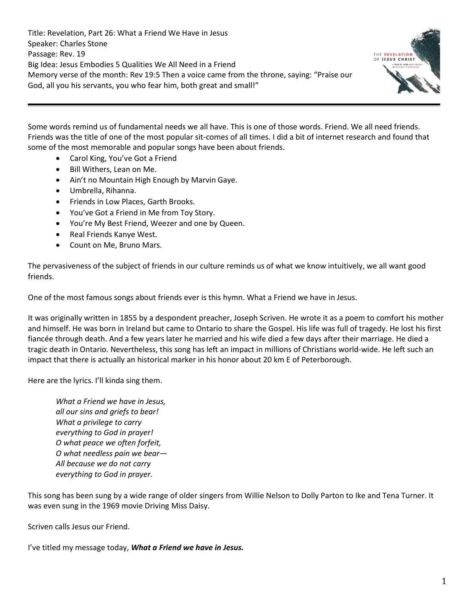Title: Revelation, Part 26: What a Friend We Have in Jesus Speaker: Charles Stone Passage: Rev. 19 Big Idea: Jesus Embodies 5 Qualities We All Need in a Friend Memory verse of the month: Rev 19:5 Then a voice came from the throne, saying: "Praise our God, all you his servants, you who fear him, both great and small!"



Some words remind us of fundamental needs we all have. This is one of those words. Friend. We all need friends. Friends was the title of one of the most popular sit-comes of all times. I did a bit of internet research and found that some of the most memorable and popular songs have been about friends.

- Carol King, You've Got a Friend
- Bill Withers, Lean on Me.
- Ain't no Mountain High Enough by Marvin Gaye.
- Umbrella, Rihanna.
- Friends in Low Places, Garth Brooks.
- You've Got a Friend in Me from Toy Story.
- You're My Best Friend, Weezer and one by Queen.
- Real Friends Kanye West.
- Count on Me, Bruno Mars.

The pervasiveness of the subject of friends in our culture reminds us of what we know intuitively, we all want good friends.

One of the most famous songs about friends ever is this hymn. What a Friend we have in Jesus.

It was originally written in 1855 by a despondent preacher, Joseph Scriven. He wrote it as a poem to comfort his mother and himself. He was born in Ireland but came to Ontario to share the Gospel. His life was full of tragedy. He lost his first fiancée through death. And a few years later he married and his wife died a few days after their marriage. He died a tragic death in Ontario. Nevertheless, this song has left an impact in millions of Christians world-wide. He left such an impact that there is actually an historical marker in his honor about 20 km E of Peterborough.

Here are the lyrics. I'll kinda sing them.

*What a Friend we have in Jesus, all our sins and griefs to bear! What a privilege to carry everything to God in prayer! O what peace we often forfeit, O what needless pain we bear— All because we do not carry everything to God in prayer.*

This song has been sung by a wide range of older singers from Willie Nelson to Dolly Parton to Ike and Tena Turner. It was even sung in the 1969 movie Driving Miss Daisy.

Scriven calls Jesus our Friend.

I've titled my message today, *What a Friend we have in Jesus.*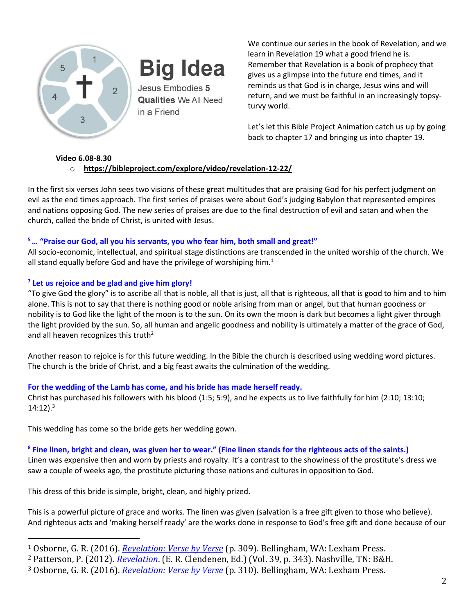

**Big Idea** 

Jesus Embodies 5 **Qualities** We All Need in a Friend

We continue our series in the book of Revelation, and we learn in Revelation 19 what a good friend he is. Remember that Revelation is a book of prophecy that gives us a glimpse into the future end times, and it reminds us that God is in charge, Jesus wins and will return, and we must be faithful in an increasingly topsyturvy world.

Let's let this Bible Project Animation catch us up by going back to chapter 17 and bringing us into chapter 19.

## **Video 6.08-8.30**

# o **<https://bibleproject.com/explore/video/revelation-12-22/>**

In the first six verses John sees two visions of these great multitudes that are praising God for his perfect judgment on evil as the end times approach. The first series of praises were about God's judging Babylon that represented empires and nations opposing God. The new series of praises are due to the final destruction of evil and satan and when the church, called the bride of Christ, is united with Jesus.

# **<sup>5</sup>… "Praise our God, all you his servants, you who fear him, both small and great!"**

All socio-economic, intellectual, and spiritual stage distinctions are transcended in the united worship of the church. We all stand equally before God and have the privilege of worshiping him.<sup>1</sup>

# **7 Let us rejoice and be glad and give him glory!**

"To give God the glory" is to ascribe all that is noble, all that is just, all that is righteous, all that is good to him and to him alone. This is not to say that there is nothing good or noble arising from man or angel, but that human goodness or nobility is to God like the light of the moon is to the sun. On its own the moon is dark but becomes a light giver through the light provided by the sun. So, all human and angelic goodness and nobility is ultimately a matter of the grace of God, and all heaven recognizes this truth<sup>2</sup>

Another reason to rejoice is for this future wedding. In the Bible the church is described using wedding word pictures. The church is the bride of Christ, and a big feast awaits the culmination of the wedding.

# **For the wedding of the Lamb has come, and his bride has made herself ready.**

Christ has purchased his followers with his blood (1:5; 5:9), and he expects us to live faithfully for him (2:10; 13:10;  $14:12$ ).<sup>3</sup>

This wedding has come so the bride gets her wedding gown.

# **8 Fine linen, bright and clean, was given her to wear." (Fine linen stands for the righteous acts of the saints.)**

Linen was expensive then and worn by priests and royalty. It's a contrast to the showiness of the prostitute's dress we saw a couple of weeks ago, the prostitute picturing those nations and cultures in opposition to God.

This dress of this bride is simple, bright, clean, and highly prized.

This is a powerful picture of grace and works. The linen was given (salvation is a free gift given to those who believe). And righteous acts and 'making herself ready' are the works done in response to God's free gift and done because of our

<sup>1</sup> Osborne, G. R. (2016). *[Revelation: Verse by Verse](https://ref.ly/logosres/vbv87rev?ref=Bible.Re19.5&off=1184&ctx=lm+115:13+and+means+~all+stand+equally+be)* (p. 309). Bellingham, WA: Lexham Press.

<sup>2</sup> Patterson, P. (2012). *[Revelation](https://ref.ly/logosres/nac39?ref=Bible.Re19.1-10&off=8148&ctx=+give+God+the+glory.~+%E2%80%9CTo+give+God+the+gl)*. (E. R. Clendenen, Ed.) (Vol. 39, p. 343). Nashville, TN: B&H.

<sup>3</sup> Osborne, G. R. (2016). *[Revelation: Verse by Verse](https://ref.ly/logosres/vbv87rev?ref=Bible.Re19.6-10&off=3245&ctx=d+made+them+white.%E2%80%9D+~Christ+has+purchased)* (p. 310). Bellingham, WA: Lexham Press.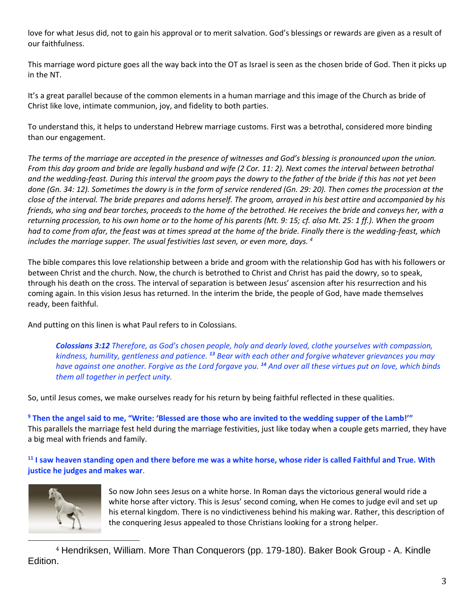love for what Jesus did, not to gain his approval or to merit salvation. God's blessings or rewards are given as a result of our faithfulness.

This marriage word picture goes all the way back into the OT as Israel is seen as the chosen bride of God. Then it picks up in the NT.

It's a great parallel because of the common elements in a human marriage and this image of the Church as bride of Christ like love, intimate communion, joy, and fidelity to both parties.

To understand this, it helps to understand Hebrew marriage customs. First was a betrothal, considered more binding than our engagement.

*The terms of the marriage are accepted in the presence of witnesses and God's blessing is pronounced upon the union. From this day groom and bride are legally husband and wife (2 Cor. 11: 2). Next comes the interval between betrothal and the wedding-feast. During this interval the groom pays the dowry to the father of the bride if this has not yet been*  done (Gn. 34: 12). Sometimes the dowry is in the form of service rendered (Gn. 29: 20). Then comes the procession at the *close of the interval. The bride prepares and adorns herself. The groom, arrayed in his best attire and accompanied by his friends, who sing and bear torches, proceeds to the home of the betrothed. He receives the bride and conveys her, with a returning procession, to his own home or to the home of his parents (Mt. 9: 15; cf. also Mt. 25: 1 ff.). When the groom had to come from afar, the feast was at times spread at the home of the bride. Finally there is the wedding-feast, which includes the marriage supper. The usual festivities last seven, or even more, days. <sup>4</sup>*

The bible compares this love relationship between a bride and groom with the relationship God has with his followers or between Christ and the church. Now, the church is betrothed to Christ and Christ has paid the dowry, so to speak, through his death on the cross. The interval of separation is between Jesus' ascension after his resurrection and his coming again. In this vision Jesus has returned. In the interim the bride, the people of God, have made themselves ready, been faithful.

And putting on this linen is what Paul refers to in Colossians.

*Colossians 3:12 Therefore, as God's chosen people, holy and dearly loved, clothe yourselves with compassion, kindness, humility, gentleness and patience. <sup>13</sup> Bear with each other and forgive whatever grievances you may have against one another. Forgive as the Lord forgave you. <sup>14</sup> And over all these virtues put on love, which binds them all together in perfect unity.*

So, until Jesus comes, we make ourselves ready for his return by being faithful reflected in these qualities.

**<sup>9</sup> Then the angel said to me, "Write: 'Blessed are those who are invited to the wedding supper of the Lamb!'"**  This parallels the marriage fest held during the marriage festivities, just like today when a couple gets married, they have a big meal with friends and family.

**<sup>11</sup> I saw heaven standing open and there before me was a white horse, whose rider is called Faithful and True. With justice he judges and makes war**.



So now John sees Jesus on a white horse. In Roman days the victorious general would ride a white horse after victory. This is Jesus' second coming, when He comes to judge evil and set up his eternal kingdom. There is no vindictiveness behind his making war. Rather, this description of the conquering Jesus appealed to those Christians looking for a strong helper.

<sup>4</sup> Hendriksen, William. More Than Conquerors (pp. 179-180). Baker Book Group - A. Kindle Edition.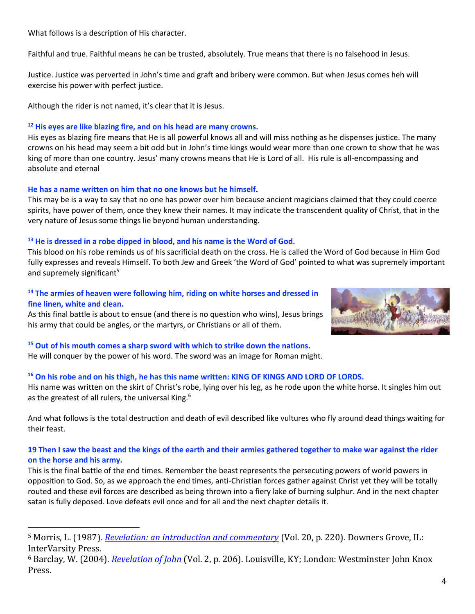What follows is a description of His character.

Faithful and true. Faithful means he can be trusted, absolutely. True means that there is no falsehood in Jesus.

Justice. Justice was perverted in John's time and graft and bribery were common. But when Jesus comes heh will exercise his power with perfect justice.

Although the rider is not named, it's clear that it is Jesus.

### **<sup>12</sup> His eyes are like blazing fire, and on his head are many crowns.**

His eyes as blazing fire means that He is all powerful knows all and will miss nothing as he dispenses justice. The many crowns on his head may seem a bit odd but in John's time kings would wear more than one crown to show that he was king of more than one country. Jesus' many crowns means that He is Lord of all. His rule is all-encompassing and absolute and eternal

### **He has a name written on him that no one knows but he himself.**

This may be is a way to say that no one has power over him because ancient magicians claimed that they could coerce spirits, have power of them, once they knew their names. It may indicate the transcendent quality of Christ, that in the very nature of Jesus some things lie beyond human understanding.

### **<sup>13</sup> He is dressed in a robe dipped in blood, and his name is the Word of God.**

This blood on his robe reminds us of his sacrificial death on the cross. He is called the Word of God because in Him God fully expresses and reveals Himself. To both Jew and Greek 'the Word of God' pointed to what was supremely important and supremely significant<sup>5</sup>

### **<sup>14</sup> The armies of heaven were following him, riding on white horses and dressed in fine linen, white and clean.**

As this final battle is about to ensue (and there is no question who wins), Jesus brings his army that could be angles, or the martyrs, or Christians or all of them.



### **<sup>15</sup> Out of his mouth comes a sharp sword with which to strike down the nations.**  He will conquer by the power of his word. The sword was an image for Roman might.

### **<sup>16</sup> On his robe and on his thigh, he has this name written: KING OF KINGS AND LORD OF LORDS.**

His name was written on the skirt of Christ's robe, lying over his leg, as he rode upon the white horse. It singles him out as the greatest of all rulers, the universal King.<sup>6</sup>

And what follows is the total destruction and death of evil described like vultures who fly around dead things waiting for their feast.

## **19 Then I saw the beast and the kings of the earth and their armies gathered together to make war against the rider on the horse and his army.**

This is the final battle of the end times. Remember the beast represents the persecuting powers of world powers in opposition to God. So, as we approach the end times, anti-Christian forces gather against Christ yet they will be totally routed and these evil forces are described as being thrown into a fiery lake of burning sulphur. And in the next chapter satan is fully deposed. Love defeats evil once and for all and the next chapter details it.

<sup>5</sup> Morris, L. (1987). *[Revelation: an introduction and commentary](https://ref.ly/logosres/tntc87reus?ref=Bible.Re19.13&off=1415&ctx=or+the+divine+name.+~To+both+Jew+and+Gree)* (Vol. 20, p. 220). Downers Grove, IL: InterVarsity Press.

<sup>6</sup> Barclay, W. (2004). *[Revelation of John](https://ref.ly/logosres/ndsb87rev02?ref=Bible.Re19.14-16&off=2092&ctx=atues+on+the+thigh.+~It+seems+clear+that+)* (Vol. 2, p. 206). Louisville, KY; London: Westminster John Knox Press.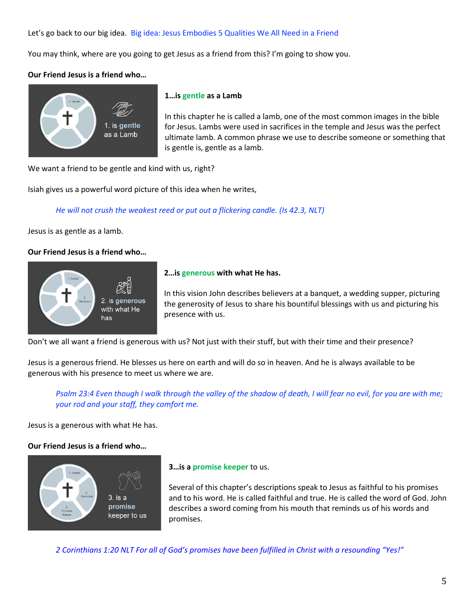Let's go back to our big idea. Big idea: Jesus Embodies 5 Qualities We All Need in a Friend

You may think, where are you going to get Jesus as a friend from this? I'm going to show you.

## **Our Friend Jesus is a friend who…**



#### **1…is gentle as a Lamb**

In this chapter he is called a lamb, one of the most common images in the bible for Jesus. Lambs were used in sacrifices in the temple and Jesus was the perfect ultimate lamb. A common phrase we use to describe someone or something that is gentle is, gentle as a lamb.

We want a friend to be gentle and kind with us, right?

Isiah gives us a powerful word picture of this idea when he writes,

*He will not crush the weakest reed or put out a flickering candle. (Is 42.3, NLT)*

Jesus is as gentle as a lamb.

## **Our Friend Jesus is a friend who…**



### **2…is generous with what He has.**

In this vision John describes believers at a banquet, a wedding supper, picturing the generosity of Jesus to share his bountiful blessings with us and picturing his presence with us.

Don't we all want a friend is generous with us? Not just with their stuff, but with their time and their presence?

Jesus is a generous friend. He blesses us here on earth and will do so in heaven. And he is always available to be generous with his presence to meet us where we are.

*Psalm 23:4 Even though I walk through the valley of the shadow of death, I will fear no evil, for you are with me; your rod and your staff, they comfort me.*

Jesus is a generous with what He has.

## **Our Friend Jesus is a friend who…**



### **3…is a promise keeper** to us.

Several of this chapter's descriptions speak to Jesus as faithful to his promises and to his word. He is called faithful and true. He is called the word of God. John describes a sword coming from his mouth that reminds us of his words and promises.

*2 Corinthians 1:20 NLT For all of God's promises have been fulfilled in Christ with a resounding "Yes!"*